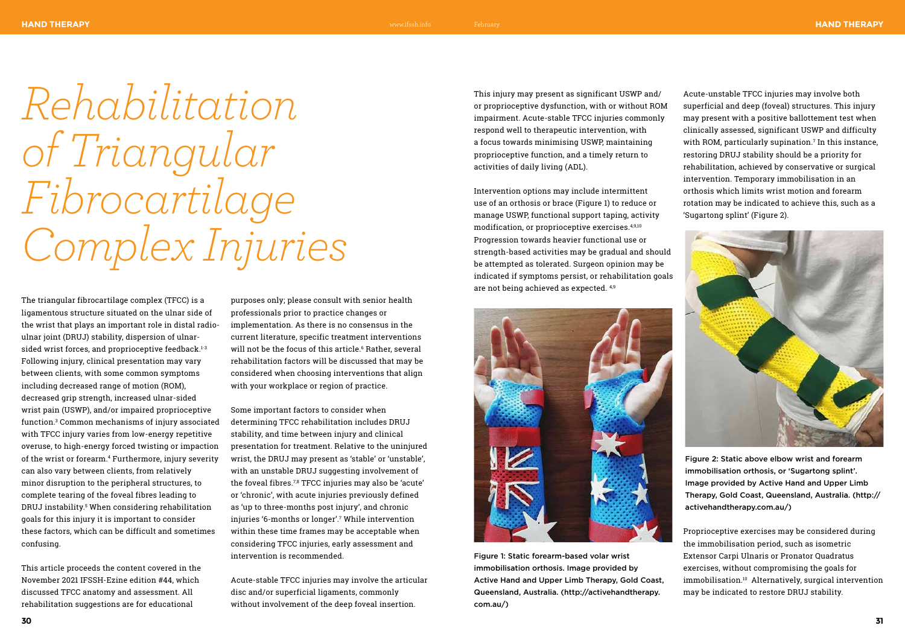## www.ifssh.info February

The triangular fibrocartilage complex (TFCC) is a ligamentous structure situated on the ulnar side of the wrist that plays an important role in distal radioulnar joint (DRUJ) stability, dispersion of ulnarsided wrist forces, and proprioceptive feedback.<sup>1-3</sup> Following injury, clinical presentation may vary between clients, with some common symptoms including decreased range of motion (ROM), decreased grip strength, increased ulnar-sided wrist pain (USWP), and/or impaired proprioceptive function.3 Common mechanisms of injury associated with TFCC injury varies from low-energy repetitive overuse, to high-energy forced twisting or impaction of the wrist or forearm.4 Furthermore, injury severity can also vary between clients, from relatively minor disruption to the peripheral structures, to complete tearing of the foveal fibres leading to DRUJ instability.5 When considering rehabilitation goals for this injury it is important to consider these factors, which can be difficult and sometimes confusing.

This article proceeds the content covered in the November 2021 IFSSH-Ezine edition #44, which discussed TFCC anatomy and assessment. All rehabilitation suggestions are for educational

purposes only; please consult with senior health professionals prior to practice changes or implementation. As there is no consensus in the current literature, specific treatment interventions will not be the focus of this article.<sup>6</sup> Rather, several rehabilitation factors will be discussed that may be considered when choosing interventions that align with your workplace or region of practice.

Some important factors to consider when determining TFCC rehabilitation includes DRUJ stability, and time between injury and clinical presentation for treatment. Relative to the uninjured wrist, the DRUJ may present as 'stable' or 'unstable', with an unstable DRUJ suggesting involvement of the foveal fibres.7,8 TFCC injuries may also be 'acute' or 'chronic', with acute injuries previously defined as 'up to three-months post injury', and chronic injuries '6-months or longer'.7 While intervention within these time frames may be acceptable when considering TFCC injuries, early assessment and intervention is recommended.

Acute-stable TFCC injuries may involve the articular disc and/or superficial ligaments, commonly without involvement of the deep foveal insertion.

*Rehabilitation of Triangular Fibrocartilage Complex Injuries*

This injury may present as significant USWP and/ or proprioceptive dysfunction, with or without ROM impairment. Acute-stable TFCC injuries commonly respond well to therapeutic intervention, with a focus towards minimising USWP, maintaining proprioceptive function, and a timely return to activities of daily living (ADL).

Intervention options may include intermittent use of an orthosis or brace (Figure 1) to reduce or manage USWP, functional support taping, activity modification, or proprioceptive exercises.4,9,10 Progression towards heavier functional use or strength-based activities may be gradual and should be attempted as tolerated. Surgeon opinion may be indicated if symptoms persist, or rehabilitation goals are not being achieved as expected. 4,9



Acute-unstable TFCC injuries may involve both superficial and deep (foveal) structures. This injury may present with a positive ballottement test when clinically assessed, significant USWP and difficulty with ROM, particularly supination.7 In this instance, restoring DRUJ stability should be a priority for rehabilitation, achieved by conservative or surgical intervention. Temporary immobilisation in an orthosis which limits wrist motion and forearm rotation may be indicated to achieve this, such as a 'Sugartong splint' (Figure 2).



Proprioceptive exercises may be considered during the immobilisation period, such as isometric Extensor Carpi Ulnaris or Pronator Quadratus exercises, without compromising the goals for immobilisation.10 Alternatively, surgical intervention may be indicated to restore DRUJ stability.

Figure 2: Static above elbow wrist and forearm immobilisation orthosis, or 'Sugartong splint'. Image provided by Active Hand and Upper Limb Therapy, Gold Coast, Queensland, Australia. (http:// activehandtherapy.com.au/)